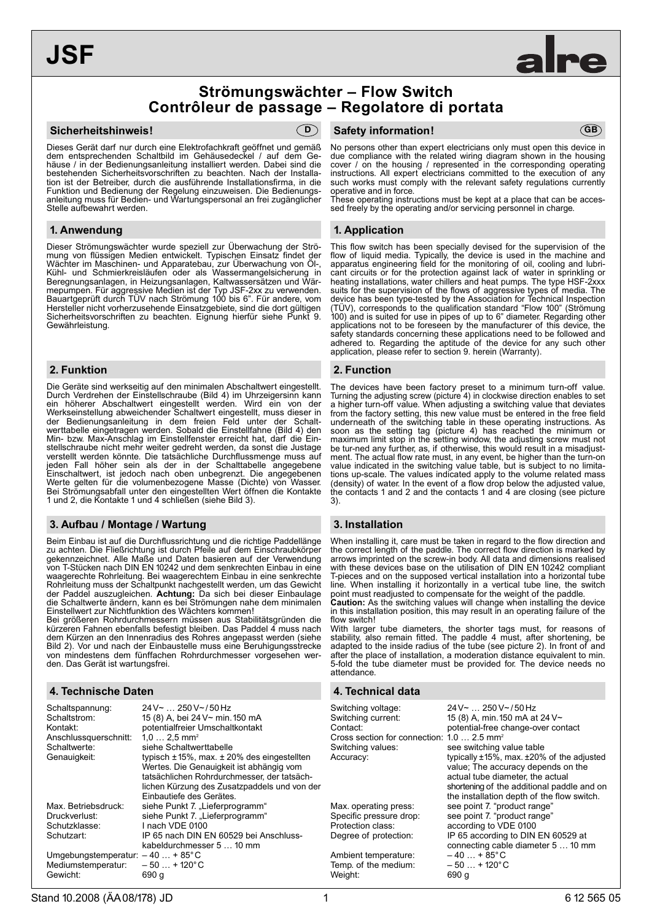# **JSF**



#### **Sicherheitshinweis!**



Dieses Gerät darf nur durch eine Elektrofachkraft geöffnet und gemäß dem entsprechenden Schaltbild im Gehäusedeckel / auf dem Gehäuse / in der Bedienungsanleitung installiert werden. Dabei sind die bestehenden Sicherheitsvorschriften zu beachten. Nach der Installation ist der Betreiber, durch die ausführende Installationsfirma, in die Funktion und Bedienung der Regelung einzuweisen. Die Bedienungsanleitung muss für Bedien- und Wartungspersonal an frei zugänglicher Stelle aufbewahrt werden.

## **1. Anwendung**

Dieser Strömungswächter wurde speziell zur Überwachung der Strömung von flüssigen Medien entwickelt. Typischen Einsatz findet der Wächter im Maschinen- und Apparatebau, zur Überwachung von Öl-, Kühl- und Schmierkreisläufen oder als Wassermangelsicherung in Beregnungsanlagen, in Heizungsanlagen, Kaltwassersätzen und Wärmepumpen. Für aggressive Medien ist der Typ JSF-2xx zu verwenden. Bauartgeprüft durch TÜV nach Strömung 100 bis 6". Für andere, vom Hersteller nicht vorherzusehende Einsatzgebiete, sind die dort gültigen Sicherheitsvorschriften zu beachten. Eignung hierfür siehe Punkt 9. Gewährleistung.

#### **2. Funktion**

Die Geräte sind werkseitig auf den minimalen Abschaltwert eingestellt. Durch Verdrehen der Einstellschraube (Bild 4) im Uhrzeigersinn kann ein höherer Abschaltwert eingestellt werden. Wird ein von der Werkseinstellung abweichender Schaltwert eingestellt, muss dieser in der Bedienungsanleitung in dem freien Feld unter der Schaltwerttabelle eingetragen werden. Sobald die Einstellfahne (Bild 4) den Min- bzw. Max-Anschlag im Einstellfenster erreicht hat, darf die Einstellschraube nicht mehr weiter gedreht werden, da sonst die Justage verstellt werden könnte. Die tatsächliche Durchflussmenge muss auf jeden Fall höher sein als der in der Schalttabelle angegebene Einschaltwert, ist jedoch nach oben unbegrenzt. Die angegebenen Werte gelten für die volumenbezogene Masse (Dichte) von Wasser. Bei Strömungsabfall unter den eingestellten Wert öffnen die Kontakte 1 und 2, die Kontakte 1 und 4 schließen (siehe Bild 3).

#### **3. Aufbau / Montage / Wartung**

Beim Einbau ist auf die Durchflussrichtung und die richtige Paddellänge zu achten. Die Fließrichtung ist durch Pfeile auf dem Einschraubkörper gekennzeichnet. Alle Maße und Daten basieren auf der Verwendung von T-Stücken nach DIN EN 10242 und dem senkrechten Einbau in eine waagerechte Rohrleitung. Bei waagerechtem Einbau in eine senkrechte Rohrleitung muss der Schaltpunkt nachgestellt werden, um das Gewicht der Paddel auszugleichen. **Achtung:** Da sich bei dieser Einbaulage die Schaltwerte ändern, kann es bei Strömungen nahe dem minimalen Einstellwert zur Nichtfunktion des Wächters kommen!

Bei größeren Rohrdurchmessern müssen aus Stabilitätsgründen die kürzeren Fahnen ebenfalls befestigt bleiben. Das Paddel 4 muss nach dem Kürzen an den Innenradius des Rohres angepasst werden (siehe Bild 2). Vor und nach der Einbaustelle muss eine Beruhigungsstrecke von mindestens dem fünffachen Rohrdurchmesser vorgesehen werden. Das Gerät ist wartungsfrei.

# **4. Technische Daten 4. Technical data**

| Schaltspannung:                         | $24V$ $\sim$ 250 V ~ / 50 Hz                        |  |  |
|-----------------------------------------|-----------------------------------------------------|--|--|
| Schaltstrom:                            | 15 (8) A, bei 24 V~ min. 150 mA                     |  |  |
| Kontakt:                                | potentialfreier Umschaltkontakt                     |  |  |
| Anschlussquerschnitt:                   | $1.0 2.5$ mm <sup>2</sup>                           |  |  |
| Schaltwerte:                            | siehe Schaltwerttabelle                             |  |  |
| Genauigkeit:                            | typisch $\pm$ 15%, max. $\pm$ 20% des eingestellten |  |  |
|                                         | Wertes. Die Genauigkeit ist abhängig vom            |  |  |
|                                         | tatsächlichen Rohrdurchmesser, der tatsäch-         |  |  |
|                                         | lichen Kürzung des Zusatzpaddels und von der        |  |  |
|                                         | Einbautiefe des Gerätes.                            |  |  |
| Max. Betriebsdruck:                     | siehe Punkt 7. "Lieferprogramm"                     |  |  |
| Druckverlust:                           | siehe Punkt 7. "Lieferprogramm"                     |  |  |
| Schutzklasse:                           | I nach VDF 0100                                     |  |  |
| Schutzart:                              | IP 65 nach DIN EN 60529 bei Anschluss-              |  |  |
|                                         | kabeldurchmesser 5  10 mm                           |  |  |
| Umgebungstemperatur: $-40+85^{\circ}$ C |                                                     |  |  |
| Mediumstemperatur:                      | $-50+120^{\circ}C$                                  |  |  |
| Gewicht:                                | 690 q                                               |  |  |

### **Safety information! D GB**

No persons other than expert electricians only must open this device in due compliance with the related wiring diagram shown in the housing cover / on the housing / represented in the corresponding operating instructions. All expert electricians committed to the execution of any such works must comply with the relevant safety regulations currently operative and in force.

These operating instructions must be kept at a place that can be accessed freely by the operating and/or servicing personnel in charge.

## **1. Application**

This flow switch has been specially devised for the supervision of the flow of liquid media. Typically, the device is used in the machine and apparatus engineering field for the monitoring of oil, cooling and lubricant circuits or for the protection against lack of water in sprinkling or heating installations, water chillers and heat pumps. The type HSF-2xxx suits for the supervision of the flows of aggressive types of media. The device has been type-tested by the Association for Technical Inspection (TÜV), corresponds to the qualification standard "Flow 100" (Strömung 100) and is suited for use in pipes of up to 6" diameter. Regarding other applications not to be foreseen by the manufacturer of this device, the safety standards concerning these applications need to be followed and adhered to. Regarding the aptitude of the device for any such other application, please refer to section 9. herein (Warranty).

#### **2. Function**

The devices have been factory preset to a minimum turn-off value. Turning the adjusting screw (picture 4) in clockwise direction enables to set a higher turn-off value. When adjusting a switching value that deviates from the factory setting, this new value must be entered in the free field underneath of the switching table in these operating instructions. As soon as the setting tag (picture 4) has reached the minimum or maximum limit stop in the setting window, the adjusting screw must not be tur-ned any further, as, if otherwise, this would result in a misadjustment. The actual flow rate must, in any event, be higher than the turn-on value indicated in the switching value table, but is subject to no limitations up-scale. The values indicated apply to the volume related mass (density) of water. In the event of a flow drop below the adjusted value, the contacts 1 and 2 and the contacts 1 and 4 are closing (see picture 3).

# **3. Installation**

When installing it, care must be taken in regard to the flow direction and the correct length of the paddle. The correct flow direction is marked by arrows imprinted on the screw-in body. All data and dimensions realised with these devices base on the utilisation of DIN EN 10242 compliant T-pieces and on the supposed vertical installation into a horizontal tube line. When installing it horizontally in a vertical tube line, the switch point must readjusted to compensate for the weight of the paddle.

**Caution:** As the switching values will change when installing the device in this installation position, this may result in an operating failure of the flow switch!

With larger tube diameters, the shorter tags must, for reasons of stability, also remain fitted. The paddle 4 must, after shortening, be adapted to the inside radius of the tube (see picture 2). In front of and after the place of installation, a moderation distance equivalent to min. 5-fold the tube diameter must be provided for. The device needs no attendance.

| Switching voltage:<br>Switching current:<br>Contact:<br>Cross section for connection: $1.0$ 2.5 mm <sup>2</sup><br>Switching values:<br>Accuracy: | $24V$ $\sim$ 250 V $\sim$ / 50 Hz<br>15 (8) A, min. 150 mA at 24 V~<br>potential-free change-over contact<br>see switching value table<br>typically $±15\%$ , max. $±20\%$ of the adjusted<br>value; The accuracy depends on the<br>actual tube diameter, the actual<br>shortening of the additional paddle and on<br>the installation depth of the flow switch. |
|---------------------------------------------------------------------------------------------------------------------------------------------------|------------------------------------------------------------------------------------------------------------------------------------------------------------------------------------------------------------------------------------------------------------------------------------------------------------------------------------------------------------------|
| Max. operating press:<br>Specific pressure drop:<br>Protection class:<br>Degree of protection:<br>Ambient temperature:<br>Temp. of the medium:    | see point 7. "product range"<br>see point 7. "product range"<br>according to VDE 0100<br>IP 65 according to DIN EN 60529 at<br>connecting cable diameter 5  10 mm<br>$-40+85^{\circ}C$<br>$-50+120^{\circ}C$                                                                                                                                                     |
| Weight:                                                                                                                                           | 690 q                                                                                                                                                                                                                                                                                                                                                            |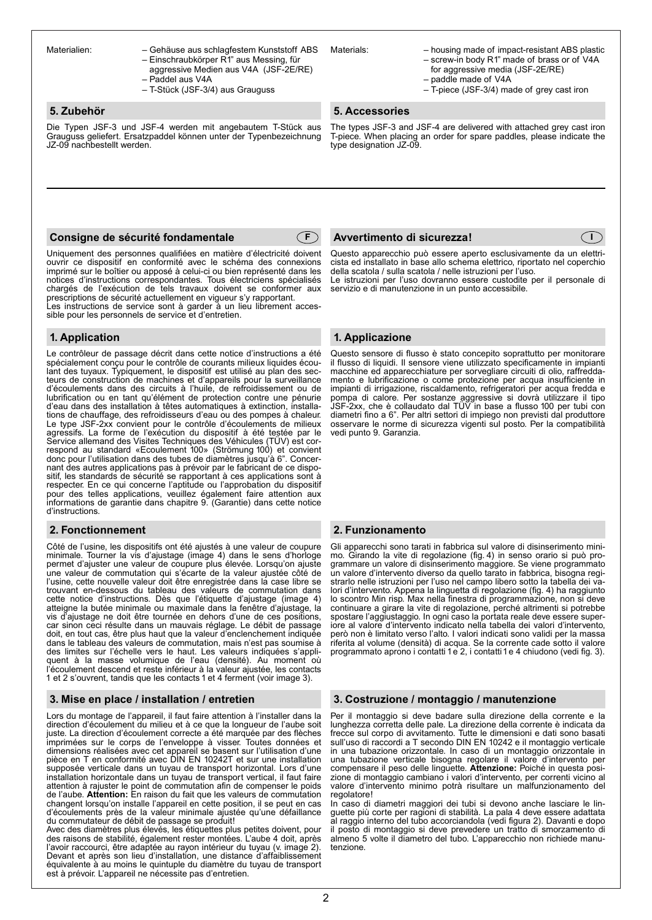Materialien: – Gehäuse aus schlagfestem Kunststoff ABS

- Einschraubkörper R1" aus Messing, für aggressive Medien aus V4A (JSF-2E/RE) – Paddel aus V4A
- T-Stück (JSF-3/4) aus Grauguss

# **5. Zubehör**

Die Typen JSF-3 und JSF-4 werden mit angebautem T-Stück aus Grauguss geliefert. Ersatzpaddel können unter der Typenbezeichnung JZ-09 nachbestellt werden.

# **Consigne de sécurité fondamentale**



Uniquement des personnes qualifiées en matière d'électricité doivent ouvrir ce dispositif en conformité avec le schéma des connexions imprimé sur le boîtier ou apposé à celui-ci ou bien représenté dans les notices d'instructions correspondantes. Tous électriciens spécialisés chargés de l'exécution de tels travaux doivent se conformer aux prescriptions de sécurité actuellement en vigueur s'y rapportant.

Les instructions de service sont à garder à un lieu librement accessible pour les personnels de service et d'entretien.

# **1. Application**

Le contrôleur de passage décrit dans cette notice d'instructions a été spécialement conçu pour le contrôle de courants milieux liquides écou-lant des tuyaux. Typiquement, le dispositif est utilisé au plan des secteurs de construction de machines et d'appareils pour la surveillance d'écoulements dans des circuits à l'huile, de refroidissement ou de lubrification ou en tant qu'élément de protection contre une pénurie d'eau dans des installation à têtes automatiques à extinction, installations de chauffage, des refroidisseurs d'eau ou des pompes à chaleur. Le type JSF-2xx convient pour le contrôle d'écoulements de milieux agressifs. La forme de l'exécution du dispositif à été testée par le Service allemand des Visites Techniques des Véhicules (TÜV) est correspond au standard «Ecoulement 100» (Strömung 100) et convient donc pour l'utilisation dans des tubes de diamètres jusqu'à 6". Concernant des autres applications pas à prévoir par le fabricant de ce dispositif, les standards de sécurité se rapportant à ces applications sont à respecter. En ce qui concerne l'aptitude ou l'approbation du dispositif pour des telles applications, veuillez également faire attention aux informations de garantie dans chapitre 9. (Garantie) dans cette notice d'instructions.

# **2. Fonctionnement 2. Funzionamento**

Côté de l'usine, les dispositifs ont été ajustés à une valeur de coupure minimale. Tourner la vis d'ajustage (image 4) dans le sens d'horloge permet d'ajuster une valeur de coupure plus élevée. Lorsqu'on ajuste une valeur de commutation qui s'écarte de la valeur ajustée côté de l'usine, cette nouvelle valeur doit être enregistrée dans la case libre se trouvant en-dessous du tableau des valeurs de commutation dans cette notice d'instructions. Dès que l'étiquette d'ajustage (image 4) atteigne la butée minimale ou maximale dans la fenêtre d'ajustage, la vis d'ajustage ne doit être tournée en dehors d'une de ces positions, car sinon ceci résulte dans un mauvais réglage. Le débit de passage doit, en tout cas, être plus haut que la valeur d'enclenchement indiquée dans le tableau des valeurs de commutation, mais n'est pas soumise à des limites sur l'échelle vers le haut. Les valeurs indiquées s'appliquent à la masse volumique de l'eau (densité). Au moment où l'écoulement descend et reste inférieur à la valeur ajustée, les contacts 1 et 2 s'ouvrent, tandis que les contacts 1 et 4 ferment (voir image 3).

#### **3. Mise en place / installation / entretien**

Lors du montage de l'appareil, il faut faire attention à l'installer dans la direction d'écoulement du milieu et à ce que la longueur de l'aube soit juste. La direction d'écoulement correcte a été marquée par des flèches imprimées sur le corps de l'enveloppe à visser. Toutes données et dimensions réalisées avec cet appareil se basent sur l'utilisation d'une pièce en T en conformité avec DIN EN 10242T et sur une installation supposée verticale dans un tuyau de transport horizontal. Lors d'une installation horizontale dans un tuyau de transport vertical, il faut faire<br>attention à rajuster le point de commutation afin de compenser le poids<br>de l'aube. **Attention:** En raison du fait que les valeurs de commutation changent lorsqu'on installe l'appareil en cette position, il se peut en cas d'écoulements près de la valeur minimale ajustée qu'une défaillance du commutateur de débit de passage se produit!

Avec des diamètres plus élevés, les étiquettes plus petites doivent, pour des raisons de stabilité, également rester montées. L'aube 4 doit, après l'avoir raccourci, être adaptée au rayon intérieur du tuyau (v. image 2). Devant et après son lieu d'installation, une distance d'affaiblissement équivalente à au moins le quintuple du diamètre du tuyau de transport est à prévoir. L'appareil ne nécessite pas d'entretien.

Materials: – housing made of impact-resistant ABS plastic

 $\in$  I

- screw-in body R1" made of brass or of V4A for aggressive media (JSF-2E/RE) – paddle made of V4A
- T-piece (JSF-3/4) made of grey cast iron

### **5. Accessories**

The types JSF-3 and JSF-4 are delivered with attached grey cast iron T-piece. When placing an order for spare paddles, please indicate the type designation JZ-09.

# **Avvertimento di sicurezza!**

Questo apparecchio può essere aperto esclusivamente da un elettricista ed installato in base allo schema elettrico, riportato nel coperchio della scatola / sulla scatola / nelle istruzioni per l'uso.

Le istruzioni per l'uso dovranno essere custodite per il personale di servizio e di manutenzione in un punto accessibile.

### **1. Applicazione**

Questo sensore di flusso è stato concepito soprattutto per monitorare il flusso di liquidi. Il sensore viene utilizzato specificamente in impianti macchine ed apparecchiature per sorvegliare circuiti di olio, raffreddamento e lubrificazione o come protezione per acqua insufficiente in impianti di irrigazione, riscaldamento, refrigeratori per acqua fredda e pompa di calore. Per sostanze aggressive si dovrà utilizzare il tipo JSF-2xx, che è collaudato dal TÜV in base a flusso 100 per tubi con diametri fino a 6". Per altri settori di impiego non previsti dal produttore osservare le norme di sicurezza vigenti sul posto. Per la compatibilità vedi punto 9. Garanzia.

Gli apparecchi sono tarati in fabbrica sul valore di disinserimento minimo. Girando la vite di regolazione (fig. 4) in senso orario si può programmare un valore di disinserimento maggiore. Se viene programmato un valore d'intervento diverso da quello tarato in fabbrica, bisogna registrarlo nelle istruzioni per l'uso nel campo libero sotto la tabella dei valori d'intervento. Appena la linguetta di regolazione (fig. 4) ha raggiunto lo scontro Min risp. Max nella finestra di programmazione, non si deve continuare a girare la vite di regolazione, perché altrimenti si potrebbe spostare l'aggiustaggio. In ogni caso la portata reale deve essere super-iore al valore d'intervento indicato nella tabella dei valori d'intervento, però non è limitato verso l'alto. I valori indicati sono validi per la massa riferita al volume (densità) di acqua. Se la corrente cade sotto il valore programmato aprono i contatti 1e 2, i contatti1e 4 chiudono (vedi fig. 3).

#### **3. Costruzione / montaggio / manutenzione**

Per il montaggio si deve badare sulla direzione della corrente e la lunghezza corretta delle pale. La direzione della corrente è indicata da frecce sul corpo di avvitamento. Tutte le dimensioni e dati sono basati sull'uso di raccordi a T secondo DIN EN 10242 e il montaggio verticale in una tubazione orizzontale. In caso di un montaggio orizzontale in una tubazione verticale bisogna regolare il valore d'intervento per compensare il peso delle linguette. **Attenzione:** Poiché in questa posizione di montaggio cambiano i valori d'intervento, per correnti vicino al valore d'intervento minimo potrà risultare un malfunzionamento del regolatore!

In caso di diametri maggiori dei tubi si devono anche lasciare le linguette più corte per ragioni di stabilità. La pala 4 deve essere adattata al raggio interno del tubo accorciandola (vedi figura 2). Davanti e dopo il posto di montaggio si deve prevedere un tratto di smorzamento di almeno 5 volte il diametro del tubo. L'apparecchio non richiede manutenzione.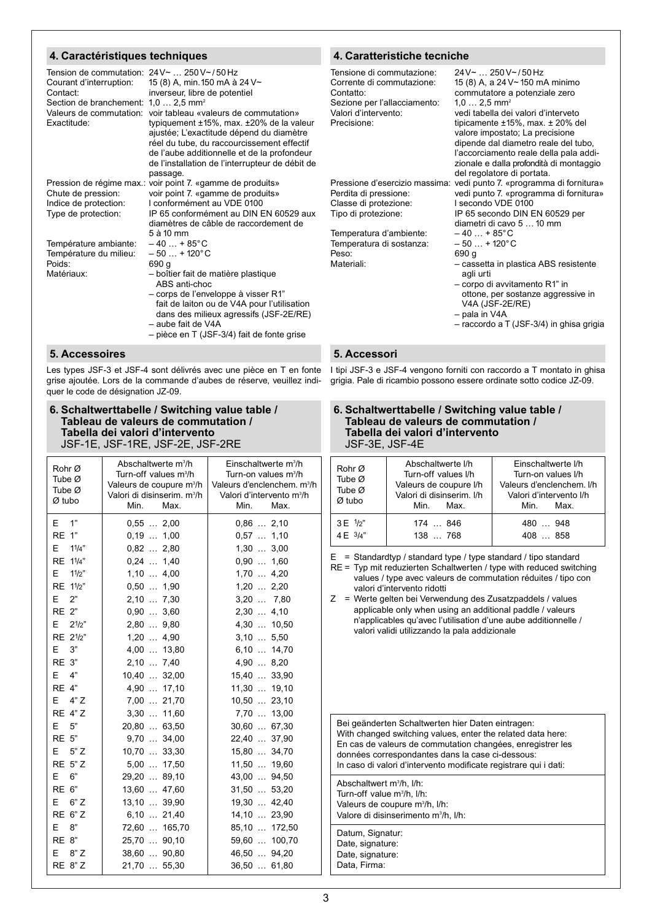# **4. Caractéristiques techniques**

| Tension de commutation: $24V \sim  250V \sim 750 Hz$<br>Courant d'interruption:<br>Contact:<br>Section de branchement:<br>Valeurs de commutation:<br>Exactitude: | 15 (8) A, min. 150 mA à 24 V~<br>inverseur, libre de potentiel<br>$1,02,5$ mm <sup>2</sup><br>voir tableau «valeurs de commutation»<br>typiquement $±15\%$ , max. $±20\%$ de la valeur<br>ajustée; L'exactitude dépend du diamètre | Τe<br>C<br>С<br>S١<br>V<br>P <sub>1</sub> |
|------------------------------------------------------------------------------------------------------------------------------------------------------------------|------------------------------------------------------------------------------------------------------------------------------------------------------------------------------------------------------------------------------------|-------------------------------------------|
|                                                                                                                                                                  | réel du tube, du raccourcissement effectif<br>de l'aube additionnelle et de la profondeur<br>de l'installation de l'interrupteur de débit de                                                                                       |                                           |
|                                                                                                                                                                  | passage.                                                                                                                                                                                                                           |                                           |
|                                                                                                                                                                  | Pression de régime max.: voir point 7. «gamme de produits»                                                                                                                                                                         | Pı                                        |
| Chute de pression:                                                                                                                                               | voir point 7. «gamme de produits»<br>I conformément au VDE 0100                                                                                                                                                                    | P(                                        |
| Indice de protection:                                                                                                                                            | IP 65 conformément au DIN EN 60529 aux                                                                                                                                                                                             | C<br>Ti                                   |
| Type de protection:                                                                                                                                              | diamètres de câble de raccordement de                                                                                                                                                                                              |                                           |
|                                                                                                                                                                  | 5 à 10 mm                                                                                                                                                                                                                          | Τe                                        |
| Température ambiante:                                                                                                                                            | $-40+85^{\circ}C$                                                                                                                                                                                                                  | Τŧ                                        |
| Température du milieu:                                                                                                                                           | $-50+120^{\circ}C$                                                                                                                                                                                                                 | P(                                        |
| Poids:                                                                                                                                                           | 690 g                                                                                                                                                                                                                              | M                                         |
| Matériaux:                                                                                                                                                       | - boîtier fait de matière plastique<br>ABS anti-choc                                                                                                                                                                               |                                           |
|                                                                                                                                                                  | - corps de l'enveloppe à visser R1"                                                                                                                                                                                                |                                           |
|                                                                                                                                                                  | fait de laiton ou de V4A pour l'utilisation                                                                                                                                                                                        |                                           |
|                                                                                                                                                                  | dans des milieux agressifs (JSF-2E/RE)                                                                                                                                                                                             |                                           |
|                                                                                                                                                                  | - aube fait de V4A                                                                                                                                                                                                                 |                                           |
|                                                                                                                                                                  | - pièce en T (JSF-3/4) fait de fonte grise                                                                                                                                                                                         |                                           |

**5. Accessoires**

Les types JSF-3 et JSF-4 sont délivrés avec une pièce en T en fonte grise ajoutée. Lors de la commande d'aubes de réserve, veuillez indiquer le code de désignation JZ-09.

#### **6. Schaltwerttabelle / Switching value table / Tableau de valeurs de commutation / Tabella dei valori d'intervento** JSF-1E, JSF-1RE, JSF-2E, JSF-2RE

| Rohr Ø<br>Tube $\varnothing$<br>Tube Ø<br>$Ø$ tubo | Abschaltwerte m <sup>3</sup> /h<br>Turn-off values m <sup>3</sup> /h<br>Valeurs de coupure m <sup>3</sup> /h<br>Valori di disinserim. m <sup>3</sup> /h<br>Min.<br>Max. | Einschaltwerte m <sup>3</sup> /h<br>Turn-on values m <sup>3</sup> /h<br>Valeurs d'enclenchem. m <sup>3</sup> /h<br>Valori d'intervento m <sup>3</sup> /h<br>Min.<br>Max. |
|----------------------------------------------------|-------------------------------------------------------------------------------------------------------------------------------------------------------------------------|--------------------------------------------------------------------------------------------------------------------------------------------------------------------------|
| 1"<br>E.<br>RE 1"                                  | $0,55$ 2,00<br>$0,19$ $1,00$                                                                                                                                            | $0,86$ 2,10<br>$0,57$ 1,10                                                                                                                                               |
| E<br>11/4"                                         | $0,82$ 2,80                                                                                                                                                             | $1,30$ $3,00$                                                                                                                                                            |
| RE 11/4"                                           | $0,24$ 1,40                                                                                                                                                             | $0,90$ 1,60                                                                                                                                                              |
| E.<br>11/2"                                        | $1,10$ 4,00                                                                                                                                                             | 1,70  4,20                                                                                                                                                               |
| RE 11/2"                                           | $0,50$ 1,90                                                                                                                                                             | $1,20$ 2,20                                                                                                                                                              |
| E<br>2"                                            | 2,10  7,30                                                                                                                                                              | 3,20  7,80                                                                                                                                                               |
| <b>RE 2"</b>                                       | $0,90$ 3,60                                                                                                                                                             | 2,30  4,10                                                                                                                                                               |
| E.<br>$2^{1/2"}$                                   | 2,80  9,80                                                                                                                                                              | 4,30  10,50                                                                                                                                                              |
| RE 21/2"                                           | $1,20$ 4,90                                                                                                                                                             | $3,10$ 5,50                                                                                                                                                              |
| E<br>3"                                            | 4,00  13,80                                                                                                                                                             | 6,10  14,70                                                                                                                                                              |
| <b>RE 3"</b>                                       | 2,10  7,40                                                                                                                                                              | 4,90  8,20                                                                                                                                                               |
| E<br>4"                                            | 10,40  32,00                                                                                                                                                            | 15,40  33,90                                                                                                                                                             |
| <b>RE 4"</b>                                       | 4,90  17,10                                                                                                                                                             | 11,30  19,10                                                                                                                                                             |
| E.<br>4" Z                                         | 7,00  21,70                                                                                                                                                             | 10,50  23,10                                                                                                                                                             |
| <b>RE 4"Z</b>                                      | 3,30  11,60                                                                                                                                                             | 7,70  13,00                                                                                                                                                              |
| 5"<br>E                                            | 20,80  63,50                                                                                                                                                            | 30,60  67,30                                                                                                                                                             |
| <b>RE 5"</b>                                       | $9,70$ 34,00                                                                                                                                                            | 22,40  37,90                                                                                                                                                             |
| 5"Z<br>Е                                           | 10,70  33,30                                                                                                                                                            | 15,80  34,70                                                                                                                                                             |
| <b>RE 5"Z</b>                                      | 5,00  17,50                                                                                                                                                             | 11,50  19,60                                                                                                                                                             |
| 6"<br>E                                            | 29,20  89,10                                                                                                                                                            | 43,00  94,50                                                                                                                                                             |
| RE 6"                                              | 13,60  47,60                                                                                                                                                            | 31,50  53,20                                                                                                                                                             |
| E.<br>6"Z                                          | 13,10  39,90                                                                                                                                                            | 19,30  42,40                                                                                                                                                             |
| RE 6"Z                                             | $6,10$ 21,40                                                                                                                                                            | 14,10  23,90                                                                                                                                                             |
| E<br>8"                                            | 72,60  165,70                                                                                                                                                           | 85,10  172,50                                                                                                                                                            |
| <b>RE 8"</b>                                       | 25,70  90,10                                                                                                                                                            | 59,60  100,70                                                                                                                                                            |
| E.<br>8"Z                                          | 38,60  90,80                                                                                                                                                            | 46,50  94,20                                                                                                                                                             |
| <b>RE 8"Z</b>                                      | 21,70  55,30                                                                                                                                                            | 36,50  61,80                                                                                                                                                             |

# **4. Caratteristiche tecniche**

| Tensione di commutazione:<br>Corrente di commutazione:<br>Contatto:<br>Sezione per l'allacciamento:<br>Valori d'intervento:<br>Precisione:                                            | $24V$ $\sim$ 250 V ~ / 50 Hz<br>15 (8) A, a 24 V~ 150 mA minimo<br>commutatore a potenziale zero<br>$1.0 2.5$ mm <sup>2</sup><br>vedi tabella dei valori d'interveto<br>tipicamente $±15\%$ , max. $±20\%$ del<br>valore impostato; La precisione<br>dipende dal diametro reale del tubo,<br>l'accorciamento reale della pala addi-<br>zionale e dalla profondità di montaggio<br>del regolatore di portata. |
|---------------------------------------------------------------------------------------------------------------------------------------------------------------------------------------|--------------------------------------------------------------------------------------------------------------------------------------------------------------------------------------------------------------------------------------------------------------------------------------------------------------------------------------------------------------------------------------------------------------|
| Pressione d'esercizio massima:<br>Perdita di pressione:<br>Classe di protezione:<br>Tipo di protezione:<br>Temperatura d'ambiente:<br>Temperatura di sostanza:<br>Peso:<br>Materiali: | vedi punto 7. «programma di fornitura»<br>vedi punto 7. «programma di fornitura»<br>I secondo VDE 0100<br>IP 65 secondo DIN EN 60529 per<br>diametri di cavo 5  10 mm<br>$-40+85^{\circ}C$<br>$-50+120^{\circ}C$<br>690 q<br>- cassetta in plastica ABS resistente<br>agli urti<br>- corpo di avvitamento R1" in<br>ottone, per sostanze aggressive in                                                       |
|                                                                                                                                                                                       | V4A (JSF-2E/RE)<br>- pala in V4A<br>- raccordo a T (JSF-3/4) in ghisa grigia                                                                                                                                                                                                                                                                                                                                 |
|                                                                                                                                                                                       |                                                                                                                                                                                                                                                                                                                                                                                                              |

# **5. Accessori**

I tipi JSF-3 e JSF-4 vengono forniti con raccordo a T montato in ghisa grigia. Pale di ricambio possono essere ordinate sotto codice JZ-09.

| JSF-3E, JSF-4E | 6. Schaltwerttabelle / Switching value table /<br>Tableau de valeurs de commutation /<br>Tabella dei valori d'intervento |
|----------------|--------------------------------------------------------------------------------------------------------------------------|
|----------------|--------------------------------------------------------------------------------------------------------------------------|

| Rohr Ø<br>Tube $\varnothing$<br>Tube $\varnothing$<br>$Ø$ tubo | Abschaltwerte I/h<br>Turn-off values I/h<br>Valeurs de coupure I/h<br>Valori di disinserim. I/h<br>Min. Max. | Einschaltwerte I/h<br>Turn-on values I/h<br>Valeurs d'enclenchem. I/h<br>Valori d'intervento I/h<br>Min. Max. |
|----------------------------------------------------------------|--------------------------------------------------------------------------------------------------------------|---------------------------------------------------------------------------------------------------------------|
| $3E^{1/2"}$                                                    | 174  846                                                                                                     | 480 948                                                                                                       |
| 4 F 3/4"                                                       | 138 . 768                                                                                                    | 408 858                                                                                                       |

 $E =$  Standardtyp / standard type / type standard / tipo standard

RE = Typ mit reduzierten Schaltwerten / type with reduced switching values / type avec valeurs de commutation réduites / tipo con valori d'intervento ridotti

Z = Werte gelten bei Verwendung des Zusatzpaddels / values applicable only when using an additional paddle / valeurs n'applicables qu'avec l'utilisation d'une aube additionnelle / valori validi utilizzando la pala addizionale

Bei geänderten Schaltwerten hier Daten eintragen: With changed switching values, enter the related data here: En cas de valeurs de commutation changées, enregistrer les données correspondantes dans la case ci-dessous: In caso di valori d'intervento modificate registrare qui i dati:

Abschaltwert m3 /h, l/h: Turn-off value m3 /h, l/h: Valeurs de coupure m<sup>3</sup>/h, l/h: Valore di disinserimento m<sup>3</sup>/h, l/h:

Datum, Signatur: Date, signature: Date, signature: Data, Firma: